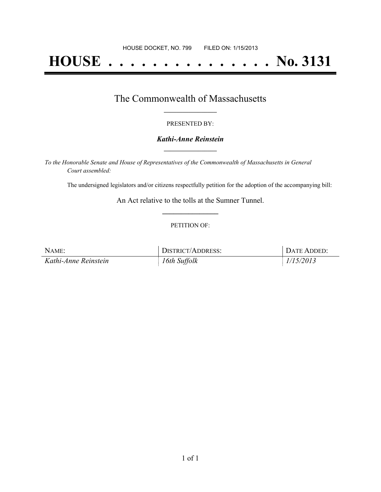# **HOUSE . . . . . . . . . . . . . . . No. 3131**

### The Commonwealth of Massachusetts **\_\_\_\_\_\_\_\_\_\_\_\_\_\_\_\_\_**

#### PRESENTED BY:

#### *Kathi-Anne Reinstein* **\_\_\_\_\_\_\_\_\_\_\_\_\_\_\_\_\_**

*To the Honorable Senate and House of Representatives of the Commonwealth of Massachusetts in General Court assembled:*

The undersigned legislators and/or citizens respectfully petition for the adoption of the accompanying bill:

An Act relative to the tolls at the Sumner Tunnel. **\_\_\_\_\_\_\_\_\_\_\_\_\_\_\_**

#### PETITION OF:

| NAME:                | DISTRICT/ADDRESS: | DATE ADDED: |
|----------------------|-------------------|-------------|
| Kathi-Anne Reinstein | 16th Suffolk      | 1/15/2013   |